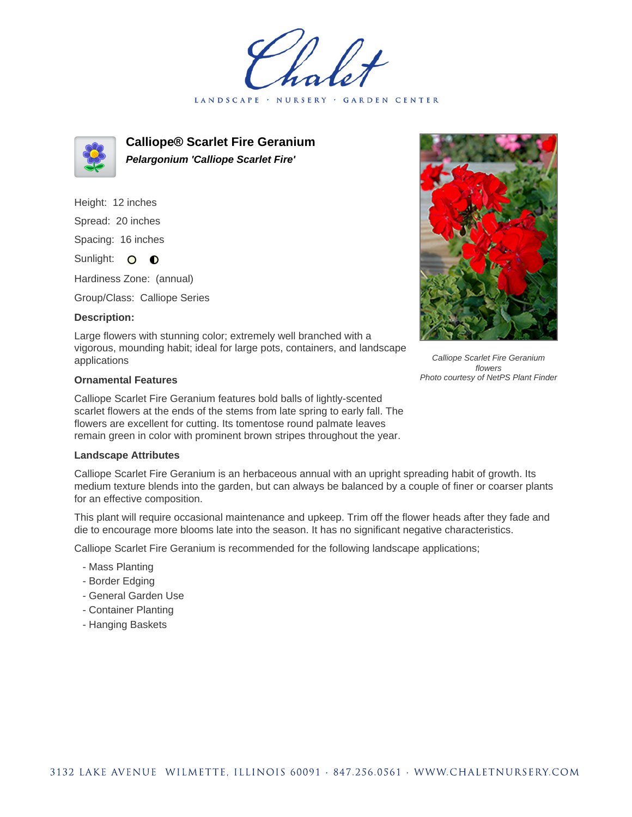LANDSCAPE · NURSERY GARDEN CENTER



**Calliope® Scarlet Fire Geranium Pelargonium 'Calliope Scarlet Fire'**

Height: 12 inches Spread: 20 inches Spacing: 16 inches Sunlight: O **O** 

Hardiness Zone: (annual)

Group/Class: Calliope Series

## **Description:**

Large flowers with stunning color; extremely well branched with a vigorous, mounding habit; ideal for large pots, containers, and landscape applications

## **Ornamental Features**

Calliope Scarlet Fire Geranium features bold balls of lightly-scented scarlet flowers at the ends of the stems from late spring to early fall. The flowers are excellent for cutting. Its tomentose round palmate leaves remain green in color with prominent brown stripes throughout the year.

## **Landscape Attributes**

Calliope Scarlet Fire Geranium is an herbaceous annual with an upright spreading habit of growth. Its medium texture blends into the garden, but can always be balanced by a couple of finer or coarser plants for an effective composition.

This plant will require occasional maintenance and upkeep. Trim off the flower heads after they fade and die to encourage more blooms late into the season. It has no significant negative characteristics.

Calliope Scarlet Fire Geranium is recommended for the following landscape applications;

- Mass Planting
- Border Edging
- General Garden Use
- Container Planting
- Hanging Baskets



Calliope Scarlet Fire Geranium flowers Photo courtesy of NetPS Plant Finder